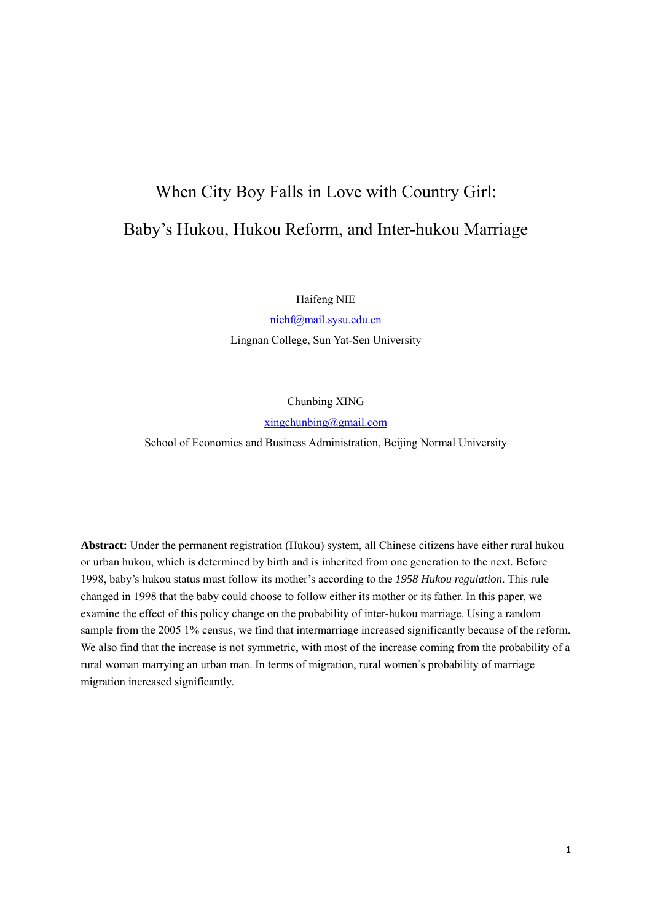# When City Boy Falls in Love with Country Girl: Baby's Hukou, Hukou Reform, and Inter-hukou Marriage

Haifeng NIE

niehf@mail.sysu.edu.cn Lingnan College, Sun Yat-Sen University

Chunbing XING

xingchunbing@gmail.com

School of Economics and Business Administration, Beijing Normal University

**Abstract:** Under the permanent registration (Hukou) system, all Chinese citizens have either rural hukou or urban hukou, which is determined by birth and is inherited from one generation to the next. Before 1998, baby's hukou status must follow its mother's according to the *1958 Hukou regulation*. This rule changed in 1998 that the baby could choose to follow either its mother or its father. In this paper, we examine the effect of this policy change on the probability of inter-hukou marriage. Using a random sample from the 2005 1% census, we find that intermarriage increased significantly because of the reform. We also find that the increase is not symmetric, with most of the increase coming from the probability of a rural woman marrying an urban man. In terms of migration, rural women's probability of marriage migration increased significantly.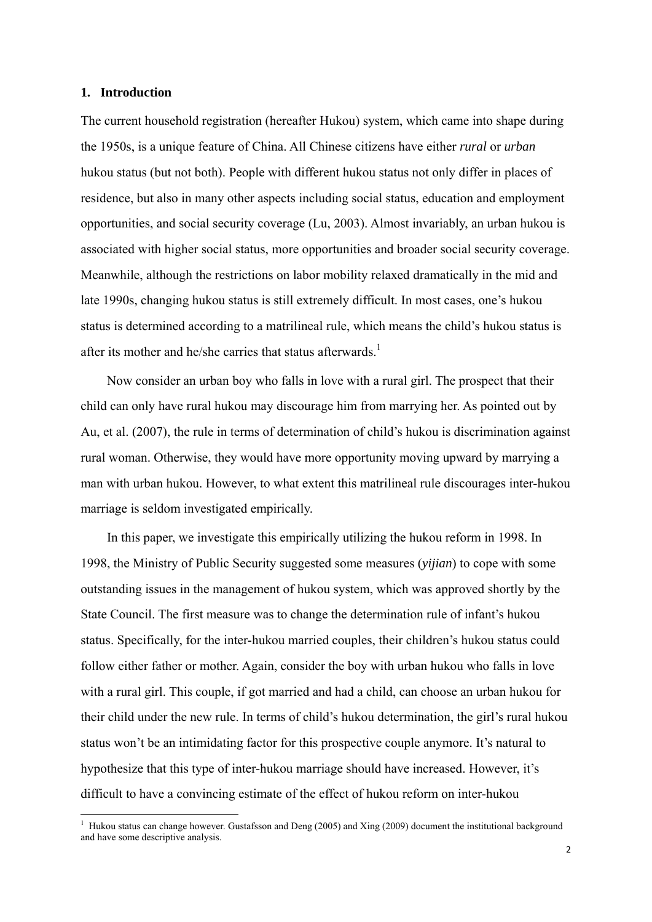# **1. Introduction**

The current household registration (hereafter Hukou) system, which came into shape during the 1950s, is a unique feature of China. All Chinese citizens have either *rural* or *urban* hukou status (but not both). People with different hukou status not only differ in places of residence, but also in many other aspects including social status, education and employment opportunities, and social security coverage (Lu, 2003). Almost invariably, an urban hukou is associated with higher social status, more opportunities and broader social security coverage. Meanwhile, although the restrictions on labor mobility relaxed dramatically in the mid and late 1990s, changing hukou status is still extremely difficult. In most cases, one's hukou status is determined according to a matrilineal rule, which means the child's hukou status is after its mother and he/she carries that status afterwards.<sup>1</sup>

Now consider an urban boy who falls in love with a rural girl. The prospect that their child can only have rural hukou may discourage him from marrying her. As pointed out by Au, et al. (2007), the rule in terms of determination of child's hukou is discrimination against rural woman. Otherwise, they would have more opportunity moving upward by marrying a man with urban hukou. However, to what extent this matrilineal rule discourages inter-hukou marriage is seldom investigated empirically.

In this paper, we investigate this empirically utilizing the hukou reform in 1998. In 1998, the Ministry of Public Security suggested some measures (*yijian*) to cope with some outstanding issues in the management of hukou system, which was approved shortly by the State Council. The first measure was to change the determination rule of infant's hukou status. Specifically, for the inter-hukou married couples, their children's hukou status could follow either father or mother. Again, consider the boy with urban hukou who falls in love with a rural girl. This couple, if got married and had a child, can choose an urban hukou for their child under the new rule. In terms of child's hukou determination, the girl's rural hukou status won't be an intimidating factor for this prospective couple anymore. It's natural to hypothesize that this type of inter-hukou marriage should have increased. However, it's difficult to have a convincing estimate of the effect of hukou reform on inter-hukou

 1 Hukou status can change however. Gustafsson and Deng (2005) and Xing (2009) document the institutional background and have some descriptive analysis.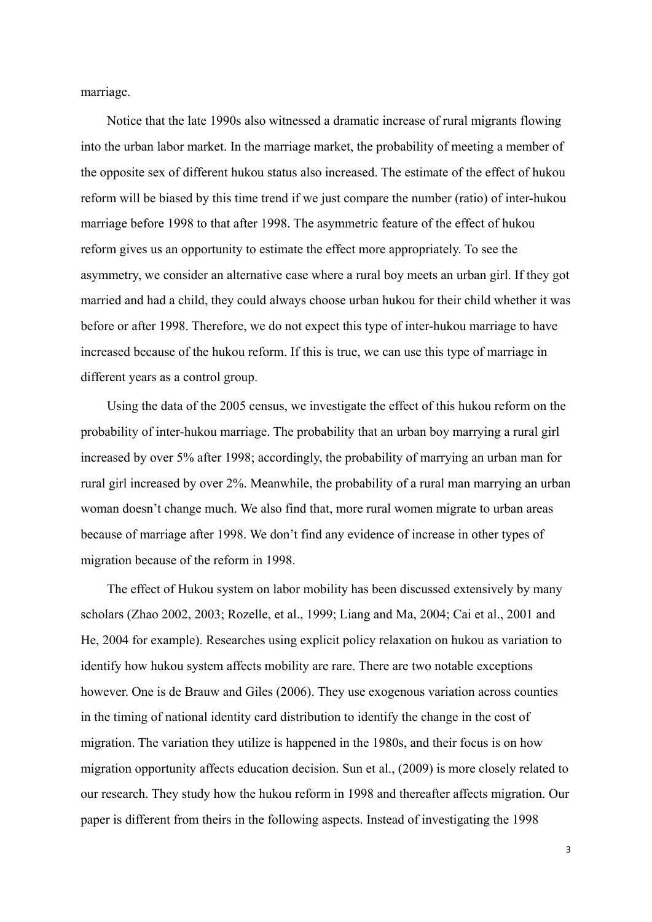marriage.

Notice that the late 1990s also witnessed a dramatic increase of rural migrants flowing into the urban labor market. In the marriage market, the probability of meeting a member of the opposite sex of different hukou status also increased. The estimate of the effect of hukou reform will be biased by this time trend if we just compare the number (ratio) of inter-hukou marriage before 1998 to that after 1998. The asymmetric feature of the effect of hukou reform gives us an opportunity to estimate the effect more appropriately. To see the asymmetry, we consider an alternative case where a rural boy meets an urban girl. If they got married and had a child, they could always choose urban hukou for their child whether it was before or after 1998. Therefore, we do not expect this type of inter-hukou marriage to have increased because of the hukou reform. If this is true, we can use this type of marriage in different years as a control group.

Using the data of the 2005 census, we investigate the effect of this hukou reform on the probability of inter-hukou marriage. The probability that an urban boy marrying a rural girl increased by over 5% after 1998; accordingly, the probability of marrying an urban man for rural girl increased by over 2%. Meanwhile, the probability of a rural man marrying an urban woman doesn't change much. We also find that, more rural women migrate to urban areas because of marriage after 1998. We don't find any evidence of increase in other types of migration because of the reform in 1998.

The effect of Hukou system on labor mobility has been discussed extensively by many scholars (Zhao 2002, 2003; Rozelle, et al., 1999; Liang and Ma, 2004; Cai et al., 2001 and He, 2004 for example). Researches using explicit policy relaxation on hukou as variation to identify how hukou system affects mobility are rare. There are two notable exceptions however. One is de Brauw and Giles (2006). They use exogenous variation across counties in the timing of national identity card distribution to identify the change in the cost of migration. The variation they utilize is happened in the 1980s, and their focus is on how migration opportunity affects education decision. Sun et al., (2009) is more closely related to our research. They study how the hukou reform in 1998 and thereafter affects migration. Our paper is different from theirs in the following aspects. Instead of investigating the 1998

3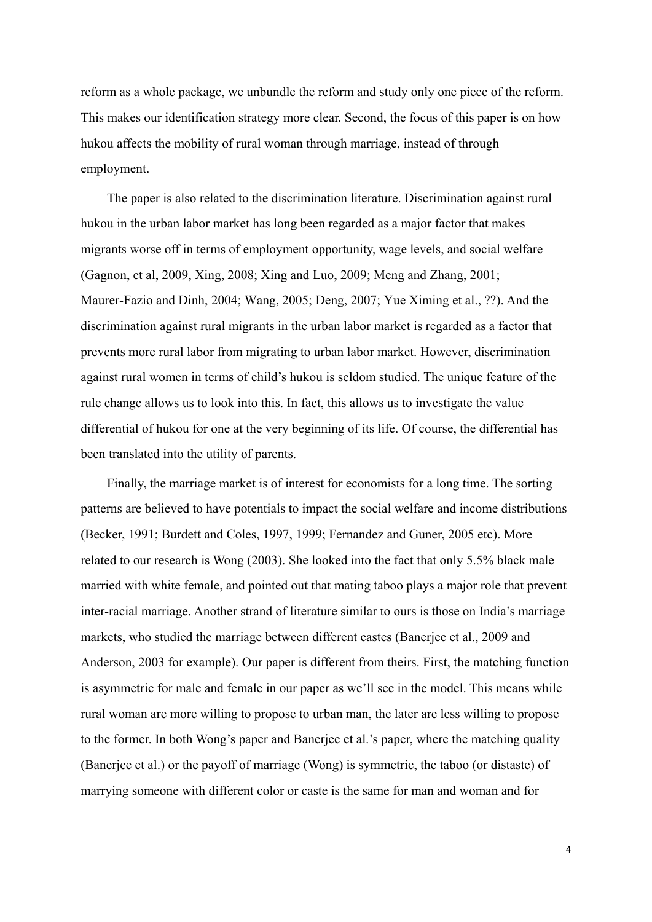reform as a whole package, we unbundle the reform and study only one piece of the reform. This makes our identification strategy more clear. Second, the focus of this paper is on how hukou affects the mobility of rural woman through marriage, instead of through employment.

The paper is also related to the discrimination literature. Discrimination against rural hukou in the urban labor market has long been regarded as a major factor that makes migrants worse off in terms of employment opportunity, wage levels, and social welfare (Gagnon, et al, 2009, Xing, 2008; Xing and Luo, 2009; Meng and Zhang, 2001; Maurer-Fazio and Dinh, 2004; Wang, 2005; Deng, 2007; Yue Ximing et al., ??). And the discrimination against rural migrants in the urban labor market is regarded as a factor that prevents more rural labor from migrating to urban labor market. However, discrimination against rural women in terms of child's hukou is seldom studied. The unique feature of the rule change allows us to look into this. In fact, this allows us to investigate the value differential of hukou for one at the very beginning of its life. Of course, the differential has been translated into the utility of parents.

Finally, the marriage market is of interest for economists for a long time. The sorting patterns are believed to have potentials to impact the social welfare and income distributions (Becker, 1991; Burdett and Coles, 1997, 1999; Fernandez and Guner, 2005 etc). More related to our research is Wong (2003). She looked into the fact that only 5.5% black male married with white female, and pointed out that mating taboo plays a major role that prevent inter-racial marriage. Another strand of literature similar to ours is those on India's marriage markets, who studied the marriage between different castes (Banerjee et al., 2009 and Anderson, 2003 for example). Our paper is different from theirs. First, the matching function is asymmetric for male and female in our paper as we'll see in the model. This means while rural woman are more willing to propose to urban man, the later are less willing to propose to the former. In both Wong's paper and Banerjee et al.'s paper, where the matching quality (Banerjee et al.) or the payoff of marriage (Wong) is symmetric, the taboo (or distaste) of marrying someone with different color or caste is the same for man and woman and for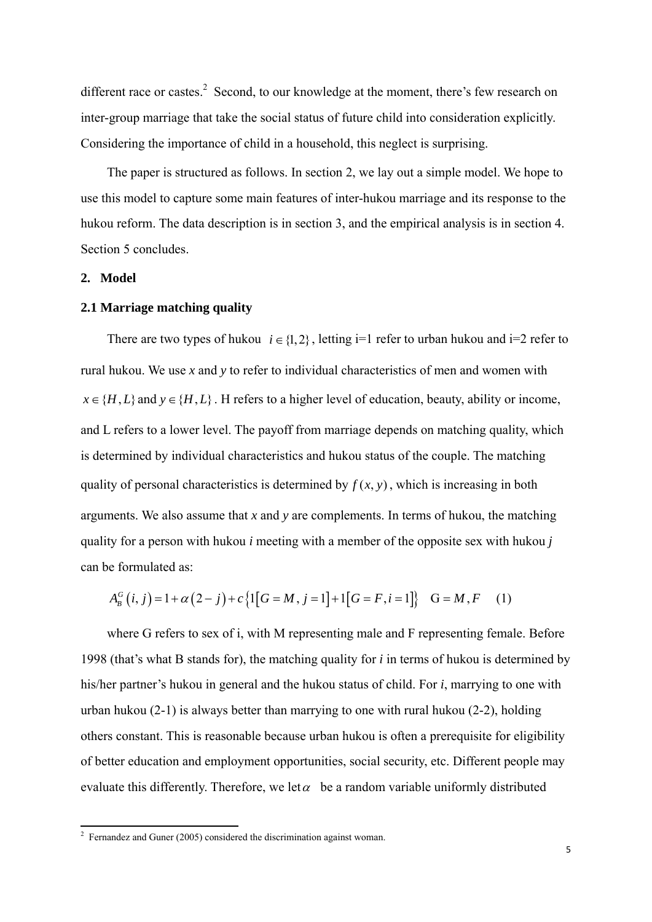different race or castes. $2$  Second, to our knowledge at the moment, there's few research on inter-group marriage that take the social status of future child into consideration explicitly. Considering the importance of child in a household, this neglect is surprising.

The paper is structured as follows. In section 2, we lay out a simple model. We hope to use this model to capture some main features of inter-hukou marriage and its response to the hukou reform. The data description is in section 3, and the empirical analysis is in section 4. Section 5 concludes.

# **2. Model**

### **2.1 Marriage matching quality**

There are two types of hukou  $i \in \{1,2\}$ , letting i=1 refer to urban hukou and i=2 refer to rural hukou. We use *x* and *y* to refer to individual characteristics of men and women with  $x \in \{H, L\}$  and  $y \in \{H, L\}$ . H refers to a higher level of education, beauty, ability or income, and L refers to a lower level. The payoff from marriage depends on matching quality, which is determined by individual characteristics and hukou status of the couple. The matching quality of personal characteristics is determined by  $f(x, y)$ , which is increasing in both arguments. We also assume that *x* and *y* are complements. In terms of hukou, the matching quality for a person with hukou *i* meeting with a member of the opposite sex with hukou *j* can be formulated as:

$$
A_B^G(i, j) = 1 + \alpha (2 - j) + c \{1[G = M, j = 1] + 1[G = F, i = 1]\} \quad G = M, F \quad (1)
$$

where G refers to sex of i, with M representing male and F representing female. Before 1998 (that's what B stands for), the matching quality for *i* in terms of hukou is determined by his/her partner's hukou in general and the hukou status of child. For *i*, marrying to one with urban hukou (2-1) is always better than marrying to one with rural hukou (2-2), holding others constant. This is reasonable because urban hukou is often a prerequisite for eligibility of better education and employment opportunities, social security, etc. Different people may evaluate this differently. Therefore, we let  $\alpha$  be a random variable uniformly distributed

<sup>&</sup>lt;sup>2</sup> Fernandez and Guner (2005) considered the discrimination against woman.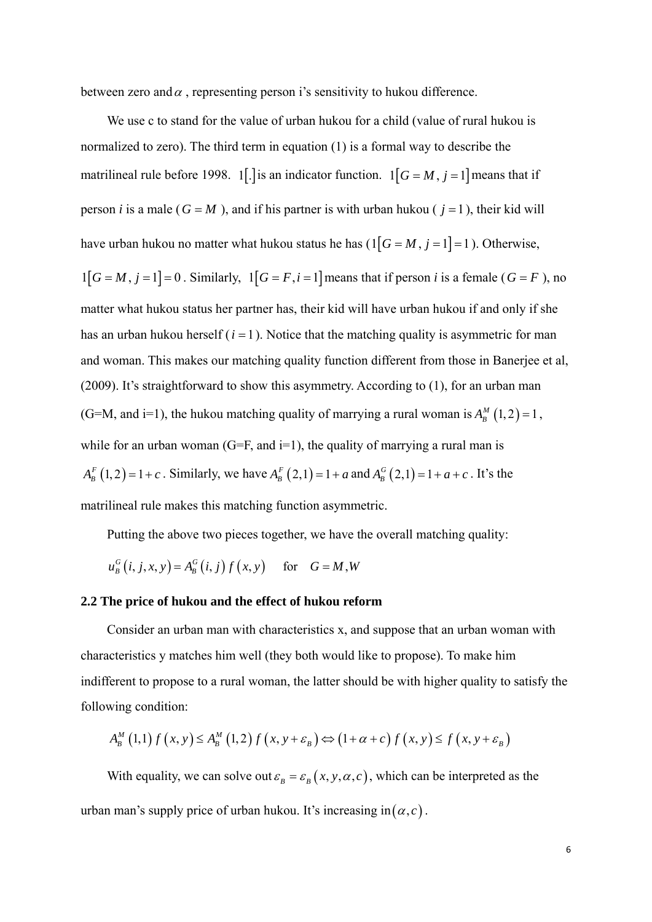between zero and  $\alpha$ , representing person i's sensitivity to hukou difference.

We use c to stand for the value of urban hukou for a child (value of rural hukou is normalized to zero). The third term in equation (1) is a formal way to describe the matrilineal rule before 1998. 1. 1. is an indicator function.  $1[G = M, j = 1]$  means that if person *i* is a male ( $G = M$ ), and if his partner is with urban hukou ( $j = 1$ ), their kid will have urban hukou no matter what hukou status he has  $(1[G = M, j = 1] = 1)$ . Otherwise,  $1[G = M, j = 1] = 0$ . Similarly,  $1[G = F, i = 1]$  means that if person *i* is a female ( $G = F$ ), no matter what hukou status her partner has, their kid will have urban hukou if and only if she has an urban hukou herself  $(i = 1)$ . Notice that the matching quality is asymmetric for man and woman. This makes our matching quality function different from those in Banerjee et al, (2009). It's straightforward to show this asymmetry. According to (1), for an urban man (G=M, and i=1), the hukou matching quality of marrying a rural woman is  $A_B^M(1, 2) = 1$ , while for an urban woman (G=F, and  $i=1$ ), the quality of marrying a rural man is  $A_{B}^{F} (1, 2) = 1 + c$ . Similarly, we have  $A_{B}^{F} (2, 1) = 1 + a$  and  $A_{B}^{G} (2, 1) = 1 + a + c$ . It's the matrilineal rule makes this matching function asymmetric.

Putting the above two pieces together, we have the overall matching quality:

$$
u_B^G(i, j, x, y) = A_B^G(i, j) f(x, y) \quad \text{for} \quad G = M, W
$$

### **2.2 The price of hukou and the effect of hukou reform**

Consider an urban man with characteristics x, and suppose that an urban woman with characteristics y matches him well (they both would like to propose). To make him indifferent to propose to a rural woman, the latter should be with higher quality to satisfy the following condition:

$$
A_B^M(1,1)f(x, y) \le A_B^M(1,2)f(x, y + \varepsilon_B) \Leftrightarrow (1 + \alpha + c)f(x, y) \le f(x, y + \varepsilon_B)
$$

With equality, we can solve out  $\varepsilon_B = \varepsilon_B(x, y, \alpha, c)$ , which can be interpreted as the urban man's supply price of urban hukou. It's increasing in $(\alpha, c)$ .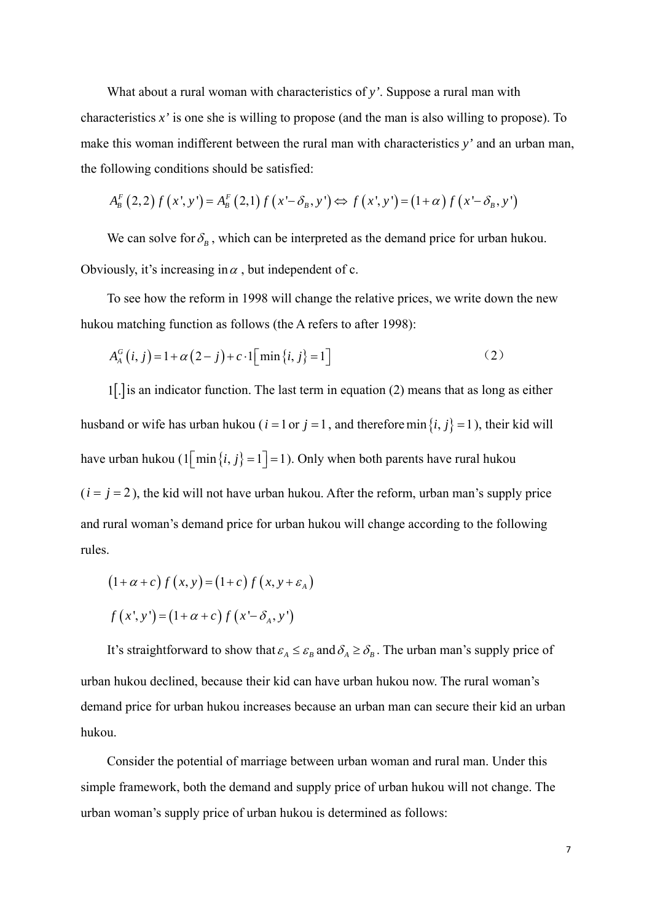What about a rural woman with characteristics of *y'*. Suppose a rural man with characteristics *x'* is one she is willing to propose (and the man is also willing to propose). To make this woman indifferent between the rural man with characteristics *y'* and an urban man, the following conditions should be satisfied:

$$
A_{B}^{F}(2,2)f(x',y') = A_{B}^{F}(2,1)f(x'-\delta_{B},y') \Leftrightarrow f(x',y') = (1+\alpha)f(x'-\delta_{B},y')
$$

We can solve for  $\delta_B$ , which can be interpreted as the demand price for urban hukou. Obviously, it's increasing in  $\alpha$ , but independent of c.

To see how the reform in 1998 will change the relative prices, we write down the new hukou matching function as follows (the A refers to after 1998):

$$
A_{A}^{G}(i, j) = 1 + \alpha (2 - j) + c \cdot 1 \left[ \min \{i, j\} = 1 \right]
$$
 (2)

 $1$ [.] is an indicator function. The last term in equation (2) means that as long as either husband or wife has urban hukou ( $i = 1$  or  $j = 1$ , and therefore min  $\{i, j\} = 1$ ), their kid will have urban hukou  $(1 \mid \min\{i, j\} = 1] = 1)$ . Only when both parents have rural hukou  $(i = j = 2)$ , the kid will not have urban hukou. After the reform, urban man's supply price and rural woman's demand price for urban hukou will change according to the following rules.

$$
(1+\alpha+c) f(x, y) = (1+c) f(x, y+\varepsilon_A)
$$
  

$$
f(x', y') = (1+\alpha+c) f(x'-\delta_A, y')
$$

It's straightforward to show that  $\varepsilon_A \leq \varepsilon_B$  and  $\delta_A \geq \delta_B$ . The urban man's supply price of urban hukou declined, because their kid can have urban hukou now. The rural woman's demand price for urban hukou increases because an urban man can secure their kid an urban hukou.

Consider the potential of marriage between urban woman and rural man. Under this simple framework, both the demand and supply price of urban hukou will not change. The urban woman's supply price of urban hukou is determined as follows: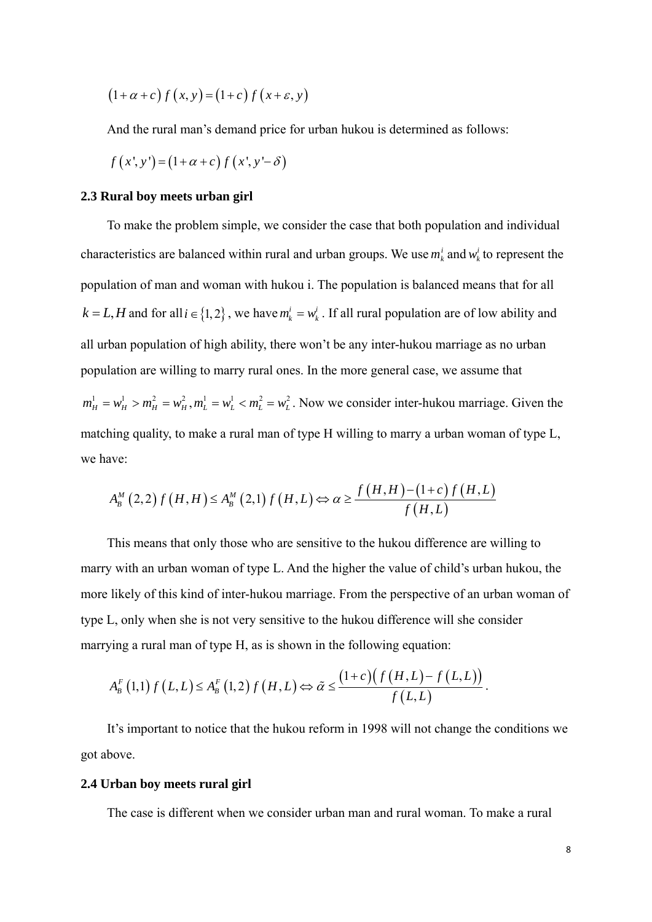$$
(1+\alpha+c) f(x, y) = (1+c) f(x+\varepsilon, y)
$$

And the rural man's demand price for urban hukou is determined as follows:

$$
f(x', y') = (1 + \alpha + c) f(x', y' - \delta)
$$

#### **2.3 Rural boy meets urban girl**

To make the problem simple, we consider the case that both population and individual characteristics are balanced within rural and urban groups. We use  $m_k^i$  and  $w_k^i$  to represent the population of man and woman with hukou i. The population is balanced means that for all  $k = L, H$  and for all  $i \in \{1, 2\}$ , we have  $m_k^i = w_k^i$ . If all rural population are of low ability and all urban population of high ability, there won't be any inter-hukou marriage as no urban population are willing to marry rural ones. In the more general case, we assume that  $m_H^1 = w_H^1 > m_H^2 = w_H^2$ ,  $m_L^1 = w_L^1 < m_L^2 = w_L^2$ . Now we consider inter-hukou marriage. Given the matching quality, to make a rural man of type H willing to marry a urban woman of type L, we have:

$$
A_B^M(2,2)f(H,H) \le A_B^M(2,1)f(H,L) \Leftrightarrow \alpha \ge \frac{f(H,H)-(1+c)f(H,L)}{f(H,L)}
$$

This means that only those who are sensitive to the hukou difference are willing to marry with an urban woman of type L. And the higher the value of child's urban hukou, the more likely of this kind of inter-hukou marriage. From the perspective of an urban woman of type L, only when she is not very sensitive to the hukou difference will she consider marrying a rural man of type H, as is shown in the following equation:

$$
A_{B}^{F}(1,1) f(L,L) \leq A_{B}^{F}(1,2) f(H,L) \Leftrightarrow \tilde{\alpha} \leq \frac{(1+c)(f(H,L)-f(L,L))}{f(L,L)}.
$$

It's important to notice that the hukou reform in 1998 will not change the conditions we got above.

#### **2.4 Urban boy meets rural girl**

The case is different when we consider urban man and rural woman. To make a rural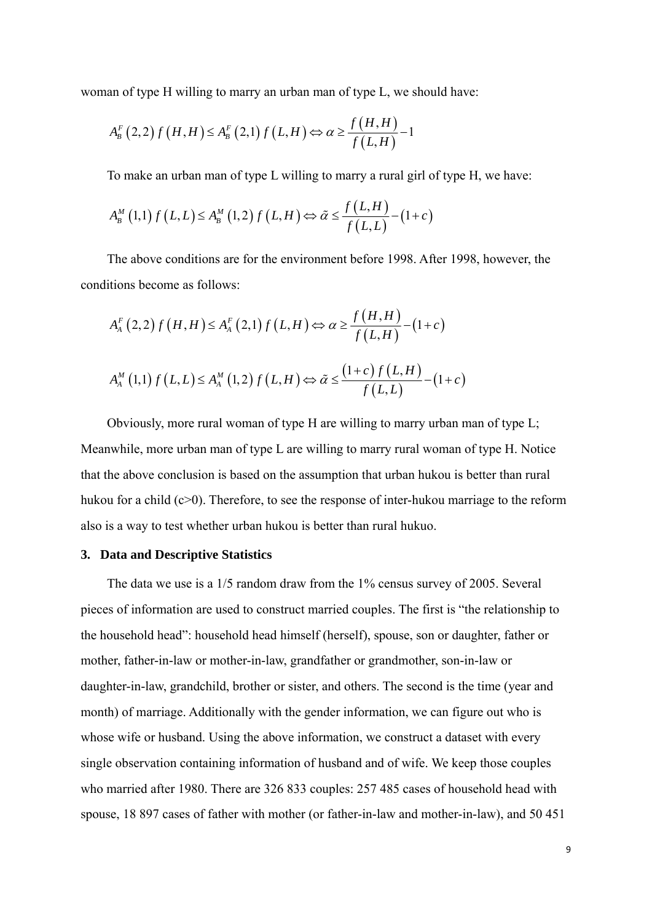woman of type H willing to marry an urban man of type L, we should have:

$$
A_{B}^{F}(2,2)f(H,H)\leq A_{B}^{F}(2,1)f(L,H)\Leftrightarrow\alpha\geq\frac{f(H,H)}{f(L,H)}-1
$$

To make an urban man of type L willing to marry a rural girl of type H, we have:

$$
A_B^M(1,1) f(L,L) \le A_B^M(1,2) f(L,H) \Leftrightarrow \tilde{\alpha} \le \frac{f(L,H)}{f(L,L)} - (1+c)
$$

The above conditions are for the environment before 1998. After 1998, however, the conditions become as follows:

$$
A_{A}^{F}(2,2) f(H,H) \le A_{A}^{F}(2,1) f(L,H) \Leftrightarrow \alpha \ge \frac{f(H,H)}{f(L,H)} - (1+c)
$$
  

$$
A_{A}^{M}(1,1) f(L,L) \le A_{A}^{M}(1,2) f(L,H) \Leftrightarrow \tilde{\alpha} \le \frac{(1+c) f(L,H)}{f(L,L)} - (1+c)
$$

Obviously, more rural woman of type H are willing to marry urban man of type L; Meanwhile, more urban man of type L are willing to marry rural woman of type H. Notice that the above conclusion is based on the assumption that urban hukou is better than rural hukou for a child  $(c>0)$ . Therefore, to see the response of inter-hukou marriage to the reform also is a way to test whether urban hukou is better than rural hukuo.

# **3. Data and Descriptive Statistics**

The data we use is a 1/5 random draw from the 1% census survey of 2005. Several pieces of information are used to construct married couples. The first is "the relationship to the household head": household head himself (herself), spouse, son or daughter, father or mother, father-in-law or mother-in-law, grandfather or grandmother, son-in-law or daughter-in-law, grandchild, brother or sister, and others. The second is the time (year and month) of marriage. Additionally with the gender information, we can figure out who is whose wife or husband. Using the above information, we construct a dataset with every single observation containing information of husband and of wife. We keep those couples who married after 1980. There are 326 833 couples: 257 485 cases of household head with spouse, 18 897 cases of father with mother (or father-in-law and mother-in-law), and 50 451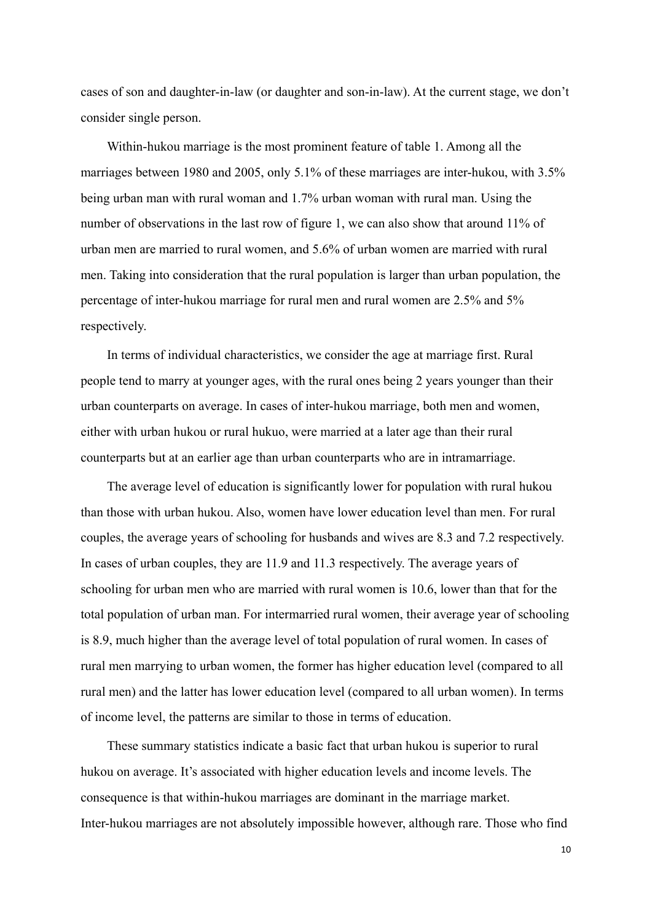cases of son and daughter-in-law (or daughter and son-in-law). At the current stage, we don't consider single person.

Within-hukou marriage is the most prominent feature of table 1. Among all the marriages between 1980 and 2005, only 5.1% of these marriages are inter-hukou, with 3.5% being urban man with rural woman and 1.7% urban woman with rural man. Using the number of observations in the last row of figure 1, we can also show that around 11% of urban men are married to rural women, and 5.6% of urban women are married with rural men. Taking into consideration that the rural population is larger than urban population, the percentage of inter-hukou marriage for rural men and rural women are 2.5% and 5% respectively.

In terms of individual characteristics, we consider the age at marriage first. Rural people tend to marry at younger ages, with the rural ones being 2 years younger than their urban counterparts on average. In cases of inter-hukou marriage, both men and women, either with urban hukou or rural hukuo, were married at a later age than their rural counterparts but at an earlier age than urban counterparts who are in intramarriage.

The average level of education is significantly lower for population with rural hukou than those with urban hukou. Also, women have lower education level than men. For rural couples, the average years of schooling for husbands and wives are 8.3 and 7.2 respectively. In cases of urban couples, they are 11.9 and 11.3 respectively. The average years of schooling for urban men who are married with rural women is 10.6, lower than that for the total population of urban man. For intermarried rural women, their average year of schooling is 8.9, much higher than the average level of total population of rural women. In cases of rural men marrying to urban women, the former has higher education level (compared to all rural men) and the latter has lower education level (compared to all urban women). In terms of income level, the patterns are similar to those in terms of education.

These summary statistics indicate a basic fact that urban hukou is superior to rural hukou on average. It's associated with higher education levels and income levels. The consequence is that within-hukou marriages are dominant in the marriage market. Inter-hukou marriages are not absolutely impossible however, although rare. Those who find

10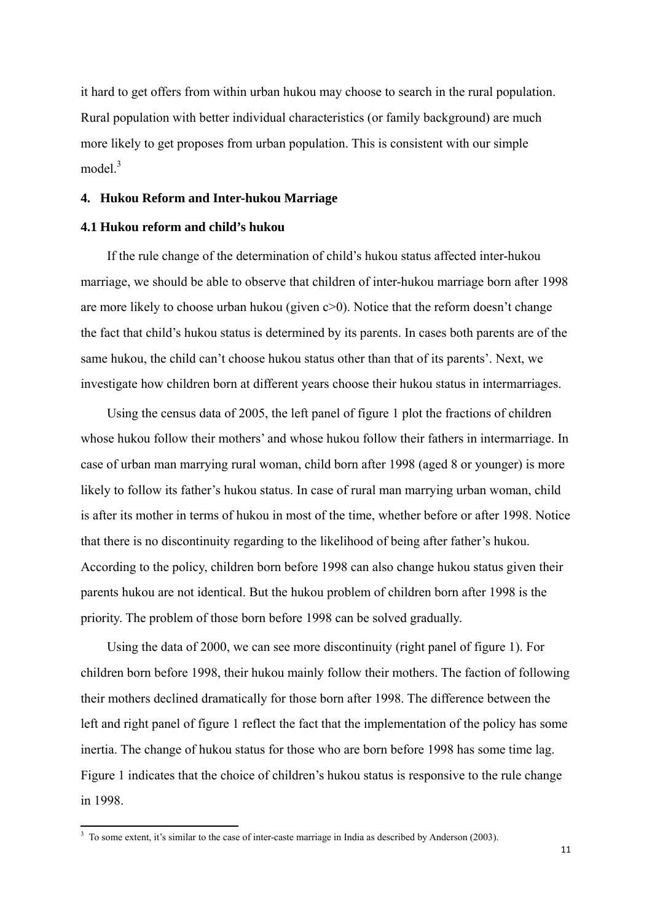it hard to get offers from within urban hukou may choose to search in the rural population. Rural population with better individual characteristics (or family background) are much more likely to get proposes from urban population. This is consistent with our simple  $model.<sup>3</sup>$ 

# **4. Hukou Reform and Inter-hukou Marriage**

# **4.1 Hukou reform and child's hukou**

If the rule change of the determination of child's hukou status affected inter-hukou marriage, we should be able to observe that children of inter-hukou marriage born after 1998 are more likely to choose urban hukou (given  $c>0$ ). Notice that the reform doesn't change the fact that child's hukou status is determined by its parents. In cases both parents are of the same hukou, the child can't choose hukou status other than that of its parents'. Next, we investigate how children born at different years choose their hukou status in intermarriages.

Using the census data of 2005, the left panel of figure 1 plot the fractions of children whose hukou follow their mothers' and whose hukou follow their fathers in intermarriage. In case of urban man marrying rural woman, child born after 1998 (aged 8 or younger) is more likely to follow its father's hukou status. In case of rural man marrying urban woman, child is after its mother in terms of hukou in most of the time, whether before or after 1998. Notice that there is no discontinuity regarding to the likelihood of being after father's hukou. According to the policy, children born before 1998 can also change hukou status given their parents hukou are not identical. But the hukou problem of children born after 1998 is the priority. The problem of those born before 1998 can be solved gradually.

Using the data of 2000, we can see more discontinuity (right panel of figure 1). For children born before 1998, their hukou mainly follow their mothers. The faction of following their mothers declined dramatically for those born after 1998. The difference between the left and right panel of figure 1 reflect the fact that the implementation of the policy has some inertia. The change of hukou status for those who are born before 1998 has some time lag. Figure 1 indicates that the choice of children's hukou status is responsive to the rule change in 1998.

<sup>&</sup>lt;sup>3</sup> To some extent, it's similar to the case of inter-caste marriage in India as described by Anderson (2003).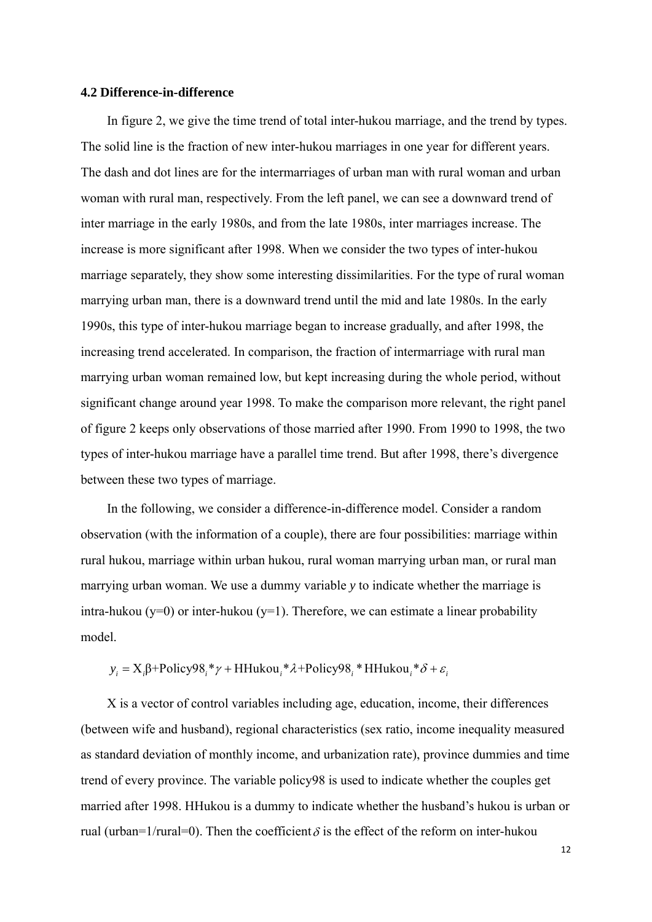# **4.2 Difference-in-difference**

In figure 2, we give the time trend of total inter-hukou marriage, and the trend by types. The solid line is the fraction of new inter-hukou marriages in one year for different years. The dash and dot lines are for the intermarriages of urban man with rural woman and urban woman with rural man, respectively. From the left panel, we can see a downward trend of inter marriage in the early 1980s, and from the late 1980s, inter marriages increase. The increase is more significant after 1998. When we consider the two types of inter-hukou marriage separately, they show some interesting dissimilarities. For the type of rural woman marrying urban man, there is a downward trend until the mid and late 1980s. In the early 1990s, this type of inter-hukou marriage began to increase gradually, and after 1998, the increasing trend accelerated. In comparison, the fraction of intermarriage with rural man marrying urban woman remained low, but kept increasing during the whole period, without significant change around year 1998. To make the comparison more relevant, the right panel of figure 2 keeps only observations of those married after 1990. From 1990 to 1998, the two types of inter-hukou marriage have a parallel time trend. But after 1998, there's divergence between these two types of marriage.

In the following, we consider a difference-in-difference model. Consider a random observation (with the information of a couple), there are four possibilities: marriage within rural hukou, marriage within urban hukou, rural woman marrying urban man, or rural man marrying urban woman. We use a dummy variable *y* to indicate whether the marriage is intra-hukou (y=0) or inter-hukou (y=1). Therefore, we can estimate a linear probability model.

 $y_i = X_i \beta + \text{Policy98}_i * \gamma + \text{HHukou}_i * \lambda + \text{Policy98}_i * \text{HHukou}_i * \delta + \varepsilon_i$ 

X is a vector of control variables including age, education, income, their differences (between wife and husband), regional characteristics (sex ratio, income inequality measured as standard deviation of monthly income, and urbanization rate), province dummies and time trend of every province. The variable policy98 is used to indicate whether the couples get married after 1998. HHukou is a dummy to indicate whether the husband's hukou is urban or rual (urban=1/rural=0). Then the coefficient  $\delta$  is the effect of the reform on inter-hukou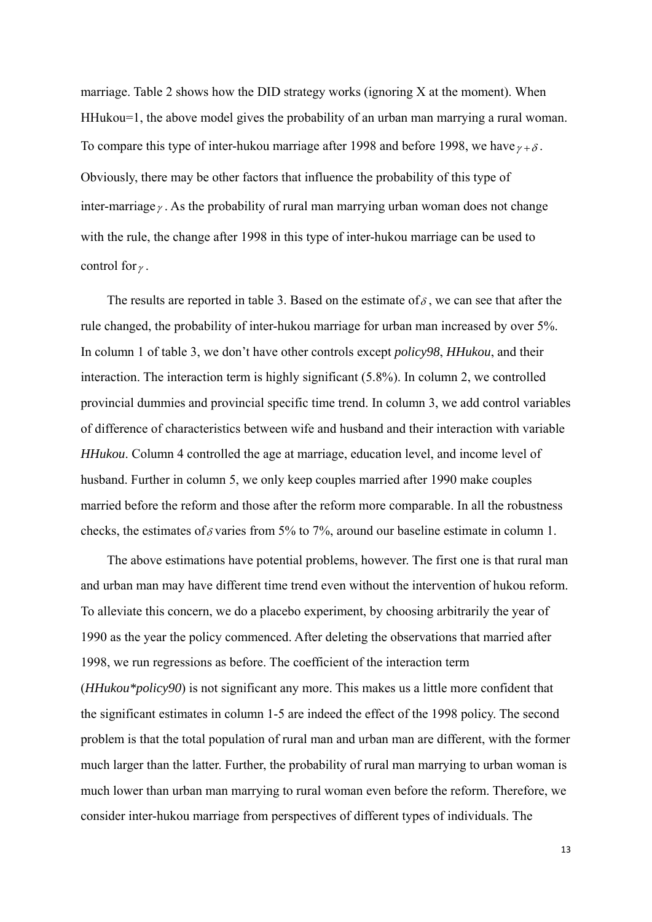marriage. Table 2 shows how the DID strategy works (ignoring X at the moment). When HHukou=1, the above model gives the probability of an urban man marrying a rural woman. To compare this type of inter-hukou marriage after 1998 and before 1998, we have  $\gamma + \delta$ . Obviously, there may be other factors that influence the probability of this type of inter-marriage<sub>γ</sub>. As the probability of rural man marrying urban woman does not change with the rule, the change after 1998 in this type of inter-hukou marriage can be used to control for  $\gamma$ .

The results are reported in table 3. Based on the estimate of  $\delta$ , we can see that after the rule changed, the probability of inter-hukou marriage for urban man increased by over 5%. In column 1 of table 3, we don't have other controls except *policy98*, *HHukou*, and their interaction. The interaction term is highly significant (5.8%). In column 2, we controlled provincial dummies and provincial specific time trend. In column 3, we add control variables of difference of characteristics between wife and husband and their interaction with variable *HHukou*. Column 4 controlled the age at marriage, education level, and income level of husband. Further in column 5, we only keep couples married after 1990 make couples married before the reform and those after the reform more comparable. In all the robustness checks, the estimates of  $\delta$  varies from 5% to 7%, around our baseline estimate in column 1.

The above estimations have potential problems, however. The first one is that rural man and urban man may have different time trend even without the intervention of hukou reform. To alleviate this concern, we do a placebo experiment, by choosing arbitrarily the year of 1990 as the year the policy commenced. After deleting the observations that married after 1998, we run regressions as before. The coefficient of the interaction term (*HHukou\*policy90*) is not significant any more. This makes us a little more confident that the significant estimates in column 1-5 are indeed the effect of the 1998 policy. The second problem is that the total population of rural man and urban man are different, with the former much larger than the latter. Further, the probability of rural man marrying to urban woman is much lower than urban man marrying to rural woman even before the reform. Therefore, we consider inter-hukou marriage from perspectives of different types of individuals. The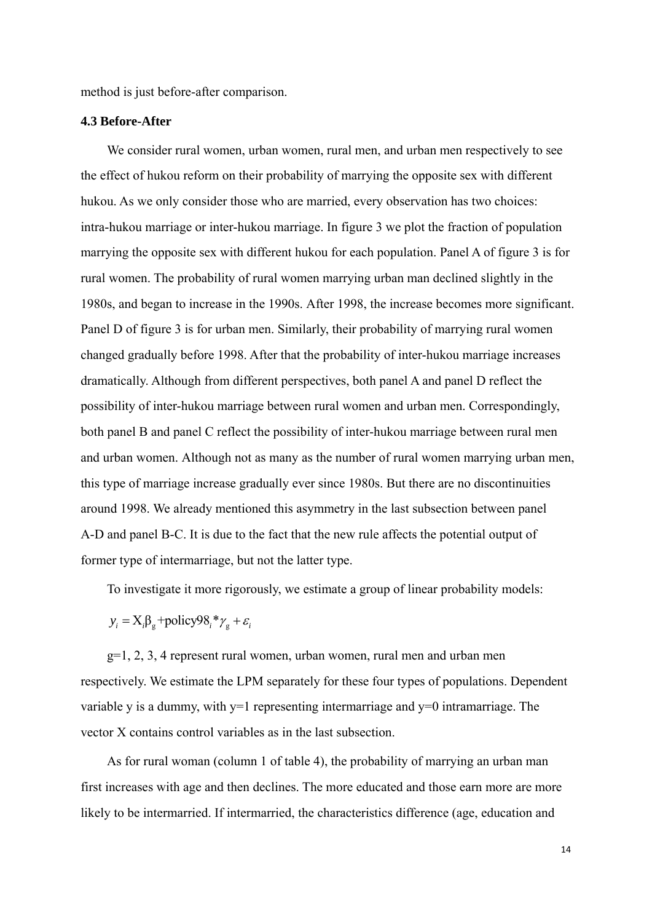method is just before-after comparison.

# **4.3 Before-After**

We consider rural women, urban women, rural men, and urban men respectively to see the effect of hukou reform on their probability of marrying the opposite sex with different hukou. As we only consider those who are married, every observation has two choices: intra-hukou marriage or inter-hukou marriage. In figure 3 we plot the fraction of population marrying the opposite sex with different hukou for each population. Panel A of figure 3 is for rural women. The probability of rural women marrying urban man declined slightly in the 1980s, and began to increase in the 1990s. After 1998, the increase becomes more significant. Panel D of figure 3 is for urban men. Similarly, their probability of marrying rural women changed gradually before 1998. After that the probability of inter-hukou marriage increases dramatically. Although from different perspectives, both panel A and panel D reflect the possibility of inter-hukou marriage between rural women and urban men. Correspondingly, both panel B and panel C reflect the possibility of inter-hukou marriage between rural men and urban women. Although not as many as the number of rural women marrying urban men, this type of marriage increase gradually ever since 1980s. But there are no discontinuities around 1998. We already mentioned this asymmetry in the last subsection between panel A-D and panel B-C. It is due to the fact that the new rule affects the potential output of former type of intermarriage, but not the latter type.

To investigate it more rigorously, we estimate a group of linear probability models:

 $y_i = X_i \beta_{\rm g} + \text{policy98}_i * \gamma_{\rm g} + \varepsilon_i$ 

g=1, 2, 3, 4 represent rural women, urban women, rural men and urban men respectively. We estimate the LPM separately for these four types of populations. Dependent variable y is a dummy, with  $y=1$  representing intermarriage and  $y=0$  intramarriage. The vector X contains control variables as in the last subsection.

As for rural woman (column 1 of table 4), the probability of marrying an urban man first increases with age and then declines. The more educated and those earn more are more likely to be intermarried. If intermarried, the characteristics difference (age, education and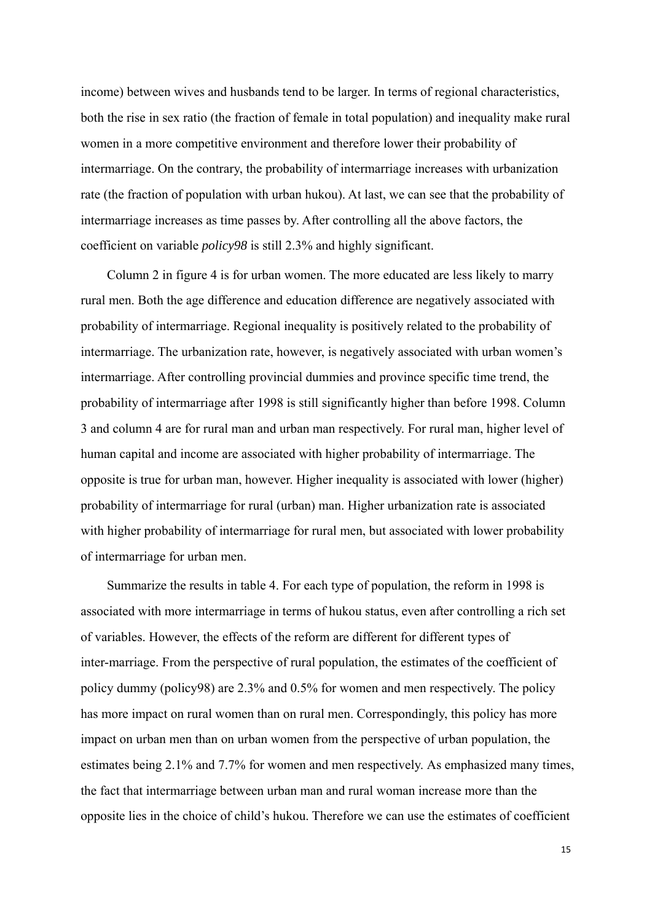income) between wives and husbands tend to be larger. In terms of regional characteristics, both the rise in sex ratio (the fraction of female in total population) and inequality make rural women in a more competitive environment and therefore lower their probability of intermarriage. On the contrary, the probability of intermarriage increases with urbanization rate (the fraction of population with urban hukou). At last, we can see that the probability of intermarriage increases as time passes by. After controlling all the above factors, the coefficient on variable *policy98* is still 2.3% and highly significant.

Column 2 in figure 4 is for urban women. The more educated are less likely to marry rural men. Both the age difference and education difference are negatively associated with probability of intermarriage. Regional inequality is positively related to the probability of intermarriage. The urbanization rate, however, is negatively associated with urban women's intermarriage. After controlling provincial dummies and province specific time trend, the probability of intermarriage after 1998 is still significantly higher than before 1998. Column 3 and column 4 are for rural man and urban man respectively. For rural man, higher level of human capital and income are associated with higher probability of intermarriage. The opposite is true for urban man, however. Higher inequality is associated with lower (higher) probability of intermarriage for rural (urban) man. Higher urbanization rate is associated with higher probability of intermarriage for rural men, but associated with lower probability of intermarriage for urban men.

Summarize the results in table 4. For each type of population, the reform in 1998 is associated with more intermarriage in terms of hukou status, even after controlling a rich set of variables. However, the effects of the reform are different for different types of inter-marriage. From the perspective of rural population, the estimates of the coefficient of policy dummy (policy98) are 2.3% and 0.5% for women and men respectively. The policy has more impact on rural women than on rural men. Correspondingly, this policy has more impact on urban men than on urban women from the perspective of urban population, the estimates being 2.1% and 7.7% for women and men respectively. As emphasized many times, the fact that intermarriage between urban man and rural woman increase more than the opposite lies in the choice of child's hukou. Therefore we can use the estimates of coefficient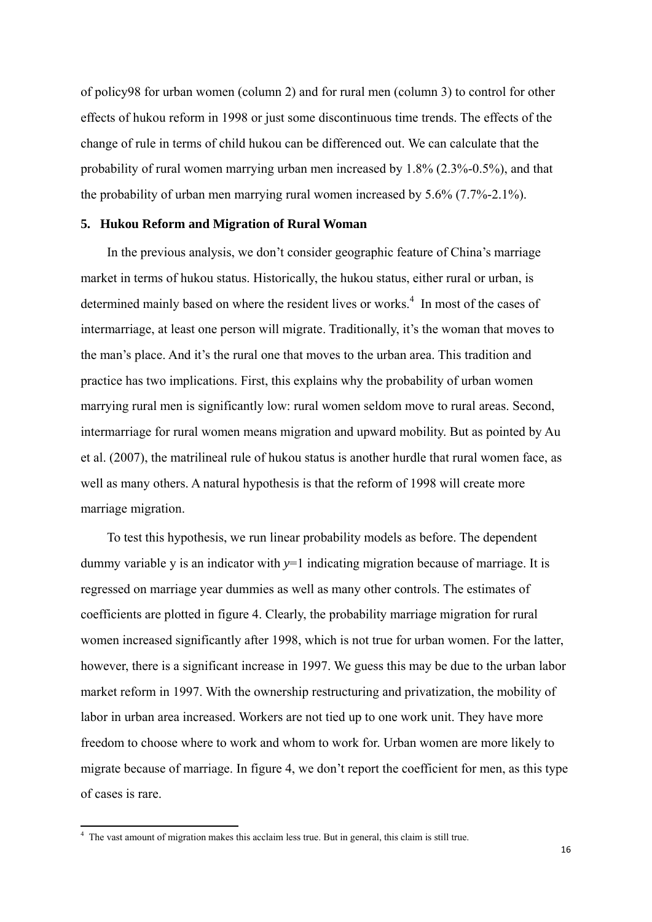of policy98 for urban women (column 2) and for rural men (column 3) to control for other effects of hukou reform in 1998 or just some discontinuous time trends. The effects of the change of rule in terms of child hukou can be differenced out. We can calculate that the probability of rural women marrying urban men increased by 1.8% (2.3%-0.5%), and that the probability of urban men marrying rural women increased by 5.6% (7.7%-2.1%).

# **5. Hukou Reform and Migration of Rural Woman**

In the previous analysis, we don't consider geographic feature of China's marriage market in terms of hukou status. Historically, the hukou status, either rural or urban, is determined mainly based on where the resident lives or works.<sup>4</sup> In most of the cases of intermarriage, at least one person will migrate. Traditionally, it's the woman that moves to the man's place. And it's the rural one that moves to the urban area. This tradition and practice has two implications. First, this explains why the probability of urban women marrying rural men is significantly low: rural women seldom move to rural areas. Second, intermarriage for rural women means migration and upward mobility. But as pointed by Au et al. (2007), the matrilineal rule of hukou status is another hurdle that rural women face, as well as many others. A natural hypothesis is that the reform of 1998 will create more marriage migration.

To test this hypothesis, we run linear probability models as before. The dependent dummy variable y is an indicator with  $y=1$  indicating migration because of marriage. It is regressed on marriage year dummies as well as many other controls. The estimates of coefficients are plotted in figure 4. Clearly, the probability marriage migration for rural women increased significantly after 1998, which is not true for urban women. For the latter, however, there is a significant increase in 1997. We guess this may be due to the urban labor market reform in 1997. With the ownership restructuring and privatization, the mobility of labor in urban area increased. Workers are not tied up to one work unit. They have more freedom to choose where to work and whom to work for. Urban women are more likely to migrate because of marriage. In figure 4, we don't report the coefficient for men, as this type of cases is rare.

 4 The vast amount of migration makes this acclaim less true. But in general, this claim is still true.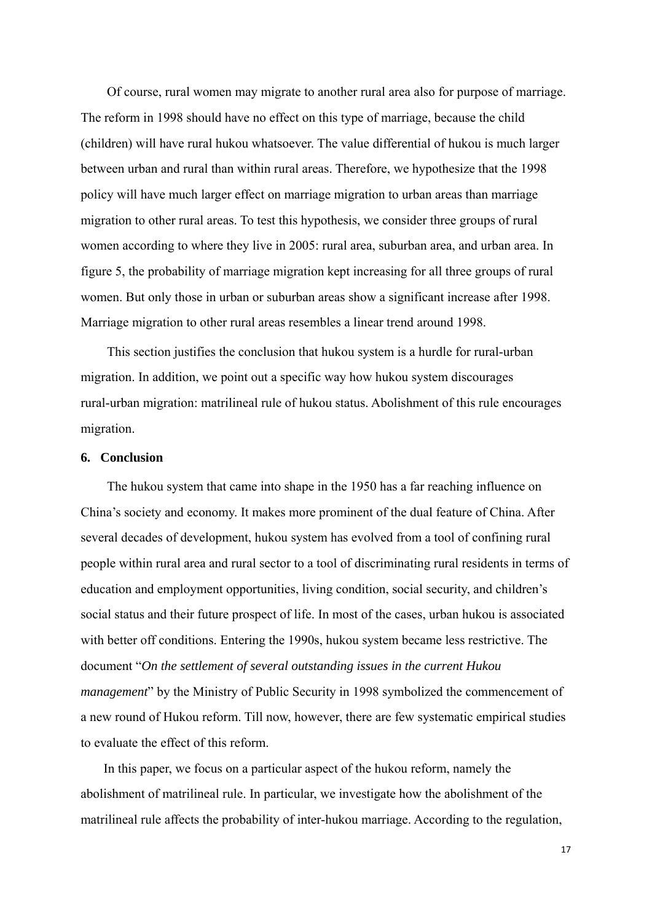Of course, rural women may migrate to another rural area also for purpose of marriage. The reform in 1998 should have no effect on this type of marriage, because the child (children) will have rural hukou whatsoever. The value differential of hukou is much larger between urban and rural than within rural areas. Therefore, we hypothesize that the 1998 policy will have much larger effect on marriage migration to urban areas than marriage migration to other rural areas. To test this hypothesis, we consider three groups of rural women according to where they live in 2005: rural area, suburban area, and urban area. In figure 5, the probability of marriage migration kept increasing for all three groups of rural women. But only those in urban or suburban areas show a significant increase after 1998. Marriage migration to other rural areas resembles a linear trend around 1998.

This section justifies the conclusion that hukou system is a hurdle for rural-urban migration. In addition, we point out a specific way how hukou system discourages rural-urban migration: matrilineal rule of hukou status. Abolishment of this rule encourages migration.

# **6. Conclusion**

The hukou system that came into shape in the 1950 has a far reaching influence on China's society and economy. It makes more prominent of the dual feature of China. After several decades of development, hukou system has evolved from a tool of confining rural people within rural area and rural sector to a tool of discriminating rural residents in terms of education and employment opportunities, living condition, social security, and children's social status and their future prospect of life. In most of the cases, urban hukou is associated with better off conditions. Entering the 1990s, hukou system became less restrictive. The document "*On the settlement of several outstanding issues in the current Hukou management*" by the Ministry of Public Security in 1998 symbolized the commencement of a new round of Hukou reform. Till now, however, there are few systematic empirical studies to evaluate the effect of this reform.

In this paper, we focus on a particular aspect of the hukou reform, namely the abolishment of matrilineal rule. In particular, we investigate how the abolishment of the matrilineal rule affects the probability of inter-hukou marriage. According to the regulation,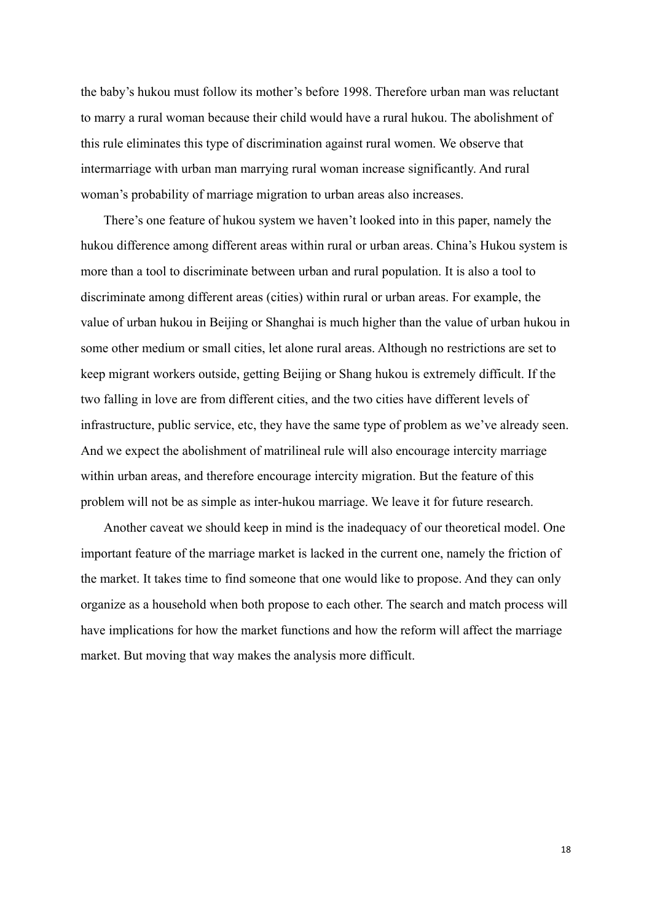the baby's hukou must follow its mother's before 1998. Therefore urban man was reluctant to marry a rural woman because their child would have a rural hukou. The abolishment of this rule eliminates this type of discrimination against rural women. We observe that intermarriage with urban man marrying rural woman increase significantly. And rural woman's probability of marriage migration to urban areas also increases.

There's one feature of hukou system we haven't looked into in this paper, namely the hukou difference among different areas within rural or urban areas. China's Hukou system is more than a tool to discriminate between urban and rural population. It is also a tool to discriminate among different areas (cities) within rural or urban areas. For example, the value of urban hukou in Beijing or Shanghai is much higher than the value of urban hukou in some other medium or small cities, let alone rural areas. Although no restrictions are set to keep migrant workers outside, getting Beijing or Shang hukou is extremely difficult. If the two falling in love are from different cities, and the two cities have different levels of infrastructure, public service, etc, they have the same type of problem as we've already seen. And we expect the abolishment of matrilineal rule will also encourage intercity marriage within urban areas, and therefore encourage intercity migration. But the feature of this problem will not be as simple as inter-hukou marriage. We leave it for future research.

Another caveat we should keep in mind is the inadequacy of our theoretical model. One important feature of the marriage market is lacked in the current one, namely the friction of the market. It takes time to find someone that one would like to propose. And they can only organize as a household when both propose to each other. The search and match process will have implications for how the market functions and how the reform will affect the marriage market. But moving that way makes the analysis more difficult.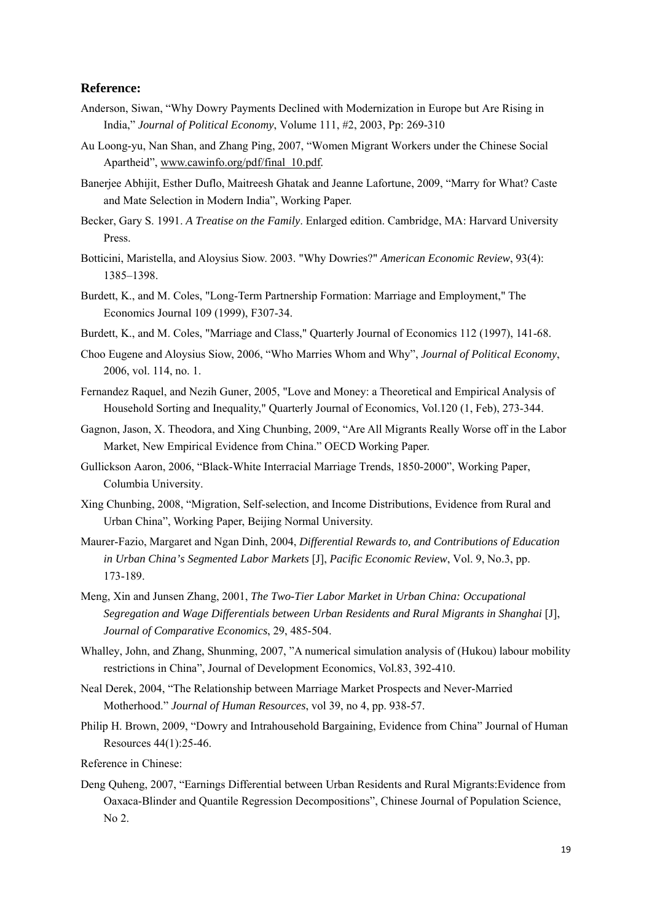#### **Reference:**

- Anderson, Siwan, "Why Dowry Payments Declined with Modernization in Europe but Are Rising in India," *Journal of Political Economy*, Volume 111, #2, 2003, Pp: 269-310
- Au Loong-yu, Nan Shan, and Zhang Ping, 2007, "Women Migrant Workers under the Chinese Social Apartheid", www.cawinfo.org/pdf/final\_10.pdf*.*
- Banerjee Abhijit, Esther Duflo, Maitreesh Ghatak and Jeanne Lafortune, 2009, "Marry for What? Caste and Mate Selection in Modern India", Working Paper.
- Becker, Gary S. 1991. *A Treatise on the Family*. Enlarged edition. Cambridge, MA: Harvard University Press.
- Botticini, Maristella, and Aloysius Siow. 2003. "Why Dowries?" *American Economic Review*, 93(4): 1385–1398.
- Burdett, K., and M. Coles, "Long-Term Partnership Formation: Marriage and Employment," The Economics Journal 109 (1999), F307-34.
- Burdett, K., and M. Coles, "Marriage and Class," Quarterly Journal of Economics 112 (1997), 141-68.
- Choo Eugene and Aloysius Siow, 2006, "Who Marries Whom and Why", *Journal of Political Economy*, 2006, vol. 114, no. 1.
- Fernandez Raquel, and Nezih Guner, 2005, "Love and Money: a Theoretical and Empirical Analysis of Household Sorting and Inequality," Quarterly Journal of Economics, Vol.120 (1, Feb), 273-344.
- Gagnon, Jason, X. Theodora, and Xing Chunbing, 2009, "Are All Migrants Really Worse off in the Labor Market, New Empirical Evidence from China." OECD Working Paper.
- Gullickson Aaron, 2006, "Black-White Interracial Marriage Trends, 1850-2000", Working Paper, Columbia University.
- Xing Chunbing, 2008, "Migration, Self-selection, and Income Distributions, Evidence from Rural and Urban China", Working Paper, Beijing Normal University.
- Maurer-Fazio, Margaret and Ngan Dinh, 2004, *Differential Rewards to, and Contributions of Education in Urban China's Segmented Labor Markets* [J], *Pacific Economic Review*, Vol. 9, No.3, pp. 173-189.
- Meng, Xin and Junsen Zhang, 2001, *The Two-Tier Labor Market in Urban China: Occupational Segregation and Wage Differentials between Urban Residents and Rural Migrants in Shanghai* [J], *Journal of Comparative Economics*, 29, 485-504.
- Whalley, John, and Zhang, Shunming, 2007, "A numerical simulation analysis of (Hukou) labour mobility restrictions in China", Journal of Development Economics, Vol.83, 392-410.
- Neal Derek, 2004, "The Relationship between Marriage Market Prospects and Never-Married Motherhood." *Journal of Human Resources*, vol 39, no 4, pp. 938-57.
- Philip H. Brown, 2009, "Dowry and Intrahousehold Bargaining, Evidence from China" Journal of Human Resources 44(1):25-46.

Reference in Chinese:

Deng Quheng, 2007, "Earnings Differential between Urban Residents and Rural Migrants:Evidence from Oaxaca-Blinder and Quantile Regression Decompositions", Chinese Journal of Population Science, No 2.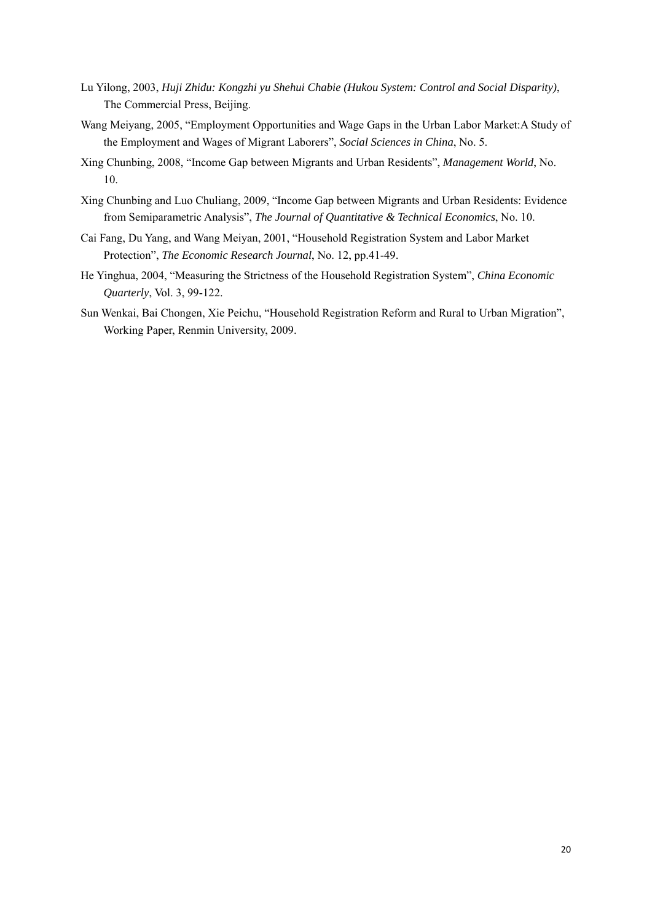- Lu Yilong, 2003, *Huji Zhidu: Kongzhi yu Shehui Chabie (Hukou System: Control and Social Disparity)*, The Commercial Press, Beijing.
- Wang Meiyang, 2005, "Employment Opportunities and Wage Gaps in the Urban Labor Market:A Study of the Employment and Wages of Migrant Laborers", *Social Sciences in China*, No. 5.
- Xing Chunbing, 2008, "Income Gap between Migrants and Urban Residents", *Management World*, No. 10.
- Xing Chunbing and Luo Chuliang, 2009, "Income Gap between Migrants and Urban Residents: Evidence from Semiparametric Analysis", *The Journal of Quantitative & Technical Economics*, No. 10.
- Cai Fang, Du Yang, and Wang Meiyan, 2001, "Household Registration System and Labor Market Protection", *The Economic Research Journal*, No. 12, pp.41-49.
- He Yinghua, 2004, "Measuring the Strictness of the Household Registration System", *China Economic Quarterly*, Vol. 3, 99-122.
- Sun Wenkai, Bai Chongen, Xie Peichu, "Household Registration Reform and Rural to Urban Migration", Working Paper, Renmin University, 2009.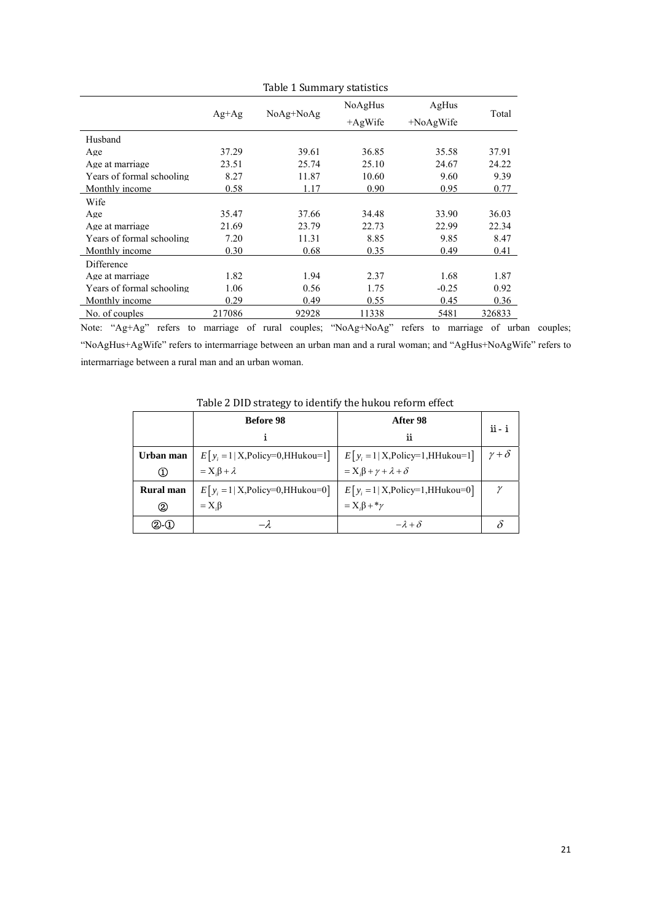|                           |           |           | NoAgHus    | AgHus        | Total  |
|---------------------------|-----------|-----------|------------|--------------|--------|
|                           | $Ag + Ag$ | NoAg+NoAg | $+AgW$ ife | $+NoAgW$ ife |        |
| Husband                   |           |           |            |              |        |
| Age                       | 37.29     | 39.61     | 36.85      | 35.58        | 37.91  |
| Age at marriage           | 23.51     | 25.74     | 25.10      | 24.67        | 24.22  |
| Years of formal schooling | 8.27      | 11.87     | 10.60      | 9.60         | 9.39   |
| Monthly income            | 0.58      | 1.17      | 0.90       | 0.95         | 0.77   |
| Wife                      |           |           |            |              |        |
| Age                       | 35.47     | 37.66     | 34.48      | 33.90        | 36.03  |
| Age at marriage           | 21.69     | 23.79     | 22.73      | 22.99        | 22.34  |
| Years of formal schooling | 7.20      | 11.31     | 8.85       | 9.85         | 8.47   |
| Monthly income            | 0.30      | 0.68      | 0.35       | 0.49         | 0.41   |
| Difference                |           |           |            |              |        |
| Age at marriage           | 1.82      | 1.94      | 2.37       | 1.68         | 1.87   |
| Years of formal schooling | 1.06      | 0.56      | 1.75       | $-0.25$      | 0.92   |
| Monthly income            | 0.29      | 0.49      | 0.55       | 0.45         | 0.36   |
| No. of couples            | 217086    | 92928     | 11338      | 5481         | 326833 |

Table 1 Summary statistics

Note: "Ag+Ag" refers to marriage of rural couples; "NoAg+NoAg" refers to marriage of urban couples; "NoAgHus+AgWife" refers to intermarriage between an urban man and a rural woman; and "AgHus+NoAgWife" refers to intermarriage between a rural man and an urban woman.

|                        | <b>Before 98</b>                     | After 98                                 | $ii - i$          |
|------------------------|--------------------------------------|------------------------------------------|-------------------|
|                        |                                      | ij                                       |                   |
| Urban man              | $E[y_i = 1   X, Policy=0, HHukou=1]$ | $E[y_i = 1   X,$ Policy=1,HHukou=1]      | $\gamma + \delta$ |
| $_{\textstyle\rm (1)}$ | $= X \cdot \beta + \lambda$          | $= Xi \beta + \gamma + \lambda + \delta$ |                   |
| <b>Rural</b> man       | $E[y_i = 1   X,$ Policy=0,HHukou=0]  | $E[y_i = 1   X,$ Policy=1,HHukou=0]      | $\gamma$          |
| ➁                      | $=X.\beta$                           | $=X_i\beta + \gamma$                     |                   |
| 20-Q                   |                                      | $-\lambda + \delta$                      |                   |

Table 2 DID strategy to identify the hukou reform effect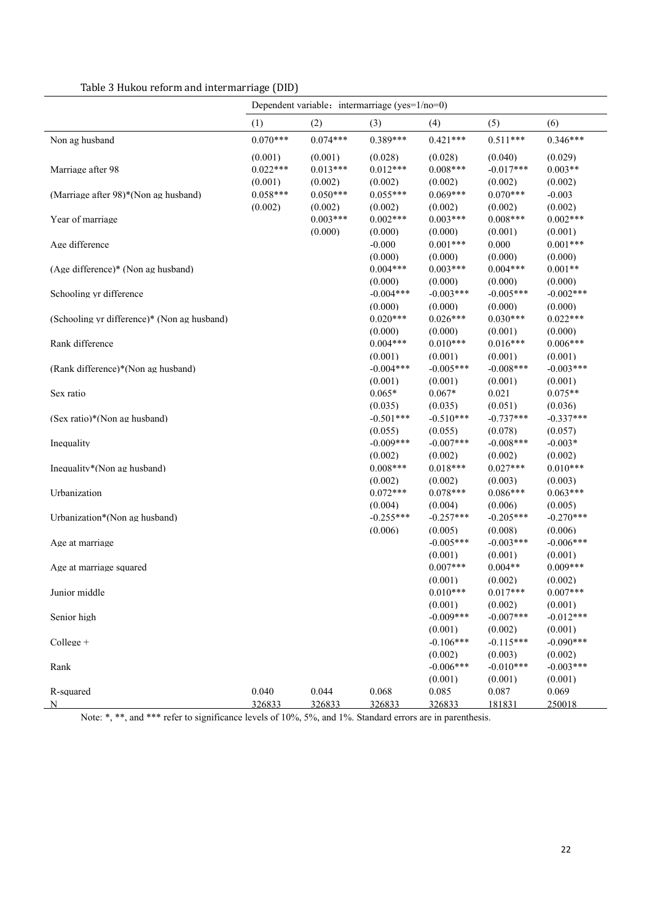|                                             | Dependent variable: intermarriage (yes=1/no=0) |                                  |                                  |                                  |                                   |                                  |
|---------------------------------------------|------------------------------------------------|----------------------------------|----------------------------------|----------------------------------|-----------------------------------|----------------------------------|
|                                             | (1)                                            | (2)                              | (3)                              | (4)                              | (5)                               | (6)                              |
| Non ag husband                              | $0.070***$                                     | $0.074***$                       | $0.389***$                       | $0.421***$                       | $0.511***$                        | $0.346***$                       |
| Marriage after 98                           | (0.001)<br>$0.022***$<br>(0.001)               | (0.001)<br>$0.013***$<br>(0.002) | (0.028)<br>$0.012***$<br>(0.002) | (0.028)<br>$0.008***$<br>(0.002) | (0.040)<br>$-0.017***$<br>(0.002) | (0.029)<br>$0.003**$<br>(0.002)  |
| (Marriage after 98)*(Non ag husband)        | $0.058***$                                     | $0.050***$                       | $0.055***$                       | $0.069***$                       | $0.070***$                        | $-0.003$                         |
| Year of marriage                            | (0.002)                                        | (0.002)<br>$0.003***$<br>(0.000) | (0.002)<br>$0.002***$<br>(0.000) | (0.002)<br>$0.003***$<br>(0.000) | (0.002)<br>$0.008***$<br>(0.001)  | (0.002)<br>$0.002***$<br>(0.001) |
| Age difference                              |                                                |                                  | $-0.000$                         | $0.001***$                       | 0.000                             | $0.001***$                       |
| (Age difference)* (Non ag husband)          |                                                |                                  | (0.000)<br>$0.004***$<br>(0.000) | (0.000)<br>$0.003***$<br>(0.000) | (0.000)<br>$0.004***$<br>(0.000)  | (0.000)<br>$0.001**$<br>(0.000)  |
| Schooling yr difference                     |                                                |                                  | $-0.004***$<br>(0.000)           | $-0.003***$<br>(0.000)           | $-0.005***$<br>(0.000)            | $-0.002***$<br>(0.000)           |
| (Schooling yr difference)* (Non ag husband) |                                                |                                  | $0.020***$<br>(0.000)            | $0.026***$<br>(0.000)            | $0.030***$<br>(0.001)             | $0.022***$<br>(0.000)            |
| Rank difference                             |                                                |                                  | $0.004***$<br>(0.001)            | $0.010***$<br>(0.001)            | $0.016***$<br>(0.001)             | $0.006***$<br>(0.001)            |
| (Rank difference)*(Non ag husband)          |                                                |                                  | $-0.004***$<br>(0.001)           | $-0.005***$<br>(0.001)           | $-0.008***$<br>(0.001)            | $-0.003***$<br>(0.001)           |
| Sex ratio                                   |                                                |                                  | $0.065*$<br>(0.035)              | $0.067*$<br>(0.035)              | 0.021<br>(0.051)                  | $0.075**$<br>(0.036)             |
| $(Sex ratio)*(Non ag husband)$              |                                                |                                  | $-0.501***$<br>(0.055)           | $-0.510***$<br>(0.055)           | $-0.737***$<br>(0.078)            | $-0.337***$<br>(0.057)           |
| Inequality                                  |                                                |                                  | $-0.009***$                      | $-0.007***$                      | $-0.008***$                       | $-0.003*$                        |
| Inequality*(Non ag husband)                 |                                                |                                  | (0.002)<br>$0.008***$<br>(0.002) | (0.002)<br>$0.018***$<br>(0.002) | (0.002)<br>$0.027***$<br>(0.003)  | (0.002)<br>$0.010***$<br>(0.003) |
| Urbanization                                |                                                |                                  | $0.072***$<br>(0.004)            | $0.078***$<br>(0.004)            | $0.086***$<br>(0.006)             | $0.063***$<br>(0.005)            |
| Urbanization*(Non ag husband)               |                                                |                                  | $-0.255***$<br>(0.006)           | $-0.257***$<br>(0.005)           | $-0.205***$<br>(0.008)            | $-0.270***$<br>(0.006)           |
| Age at marriage                             |                                                |                                  |                                  | $-0.005***$<br>(0.001)           | $-0.003***$<br>(0.001)            | $-0.006***$<br>(0.001)           |
| Age at marriage squared                     |                                                |                                  |                                  | $0.007***$<br>(0.001)            | $0.004**$<br>(0.002)              | $0.009***$<br>(0.002)            |
| Junior middle                               |                                                |                                  |                                  | $0.010***$<br>(0.001)            | $0.017***$<br>(0.002)             | $0.007***$<br>(0.001)            |
| Senior high                                 |                                                |                                  |                                  | $-0.009***$<br>(0.001)           | $-0.007***$<br>(0.002)            | $-0.012***$<br>(0.001)           |
| College +                                   |                                                |                                  |                                  | $-0.106***$<br>(0.002)           | $-0.115***$<br>(0.003)            | $-0.090***$<br>(0.002)           |
| Rank                                        |                                                |                                  |                                  | $-0.006***$                      | $-0.010***$                       | $-0.003***$                      |
| R-squared<br>N                              | 0.040<br>326833                                | 0.044<br>326833                  | 0.068<br>326833                  | (0.001)<br>0.085<br>326833       | (0.001)<br>0.087<br>181831        | (0.001)<br>0.069<br>250018       |

Table 3 Hukou reform and intermarriage (DID)

Note: \*, \*\*, and \*\*\* refer to significance levels of 10%, 5%, and 1%. Standard errors are in parenthesis.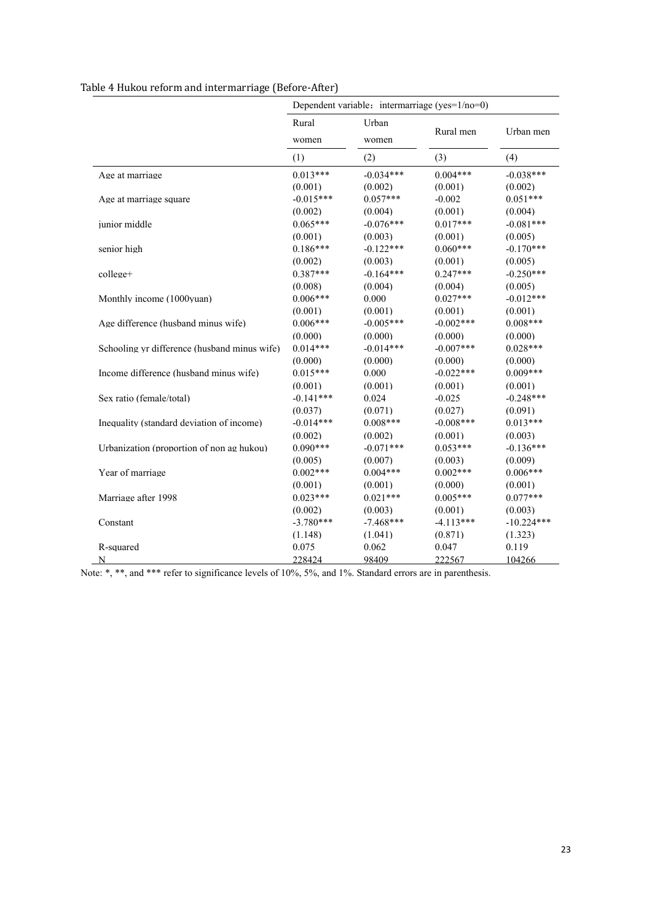| Table 4 Hukou reform and intermarriage (Before-After) |  |
|-------------------------------------------------------|--|
|-------------------------------------------------------|--|

|                                              | Dependent variable: intermarriage (yes=1/no=0) |                |             |              |
|----------------------------------------------|------------------------------------------------|----------------|-------------|--------------|
|                                              | Rural                                          | Urban<br>women |             |              |
|                                              | women                                          |                | Rural men   | Urban men    |
|                                              | (1)                                            | (2)            | (3)         | (4)          |
| Age at marriage                              | $0.013***$                                     | $-0.034***$    | $0.004***$  | $-0.038***$  |
|                                              | (0.001)                                        | (0.002)        | (0.001)     | (0.002)      |
| Age at marriage square                       | $-0.015***$                                    | $0.057***$     | $-0.002$    | $0.051***$   |
|                                              | (0.002)                                        | (0.004)        | (0.001)     | (0.004)      |
| junior middle                                | $0.065***$                                     | $-0.076***$    | $0.017***$  | $-0.081***$  |
|                                              | (0.001)                                        | (0.003)        | (0.001)     | (0.005)      |
| senior high                                  | $0.186***$                                     | $-0.122***$    | $0.060***$  | $-0.170***$  |
|                                              | (0.002)                                        | (0.003)        | (0.001)     | (0.005)      |
| college+                                     | $0.387***$                                     | $-0.164***$    | $0.247***$  | $-0.250***$  |
|                                              | (0.008)                                        | (0.004)        | (0.004)     | (0.005)      |
| Monthly income (1000yuan)                    | $0.006***$                                     | 0.000          | $0.027***$  | $-0.012***$  |
|                                              | (0.001)                                        | (0.001)        | (0.001)     | (0.001)      |
| Age difference (husband minus wife)          | $0.006***$                                     | $-0.005***$    | $-0.002***$ | $0.008***$   |
|                                              | (0.000)                                        | (0.000)        | (0.000)     | (0.000)      |
| Schooling yr difference (husband minus wife) | $0.014***$                                     | $-0.014***$    | $-0.007***$ | $0.028***$   |
|                                              | (0.000)                                        | (0.000)        | (0.000)     | (0.000)      |
| Income difference (husband minus wife)       | $0.015***$                                     | 0.000          | $-0.022***$ | $0.009***$   |
|                                              | (0.001)                                        | (0.001)        | (0.001)     | (0.001)      |
| Sex ratio (female/total)                     | $-0.141***$                                    | 0.024          | $-0.025$    | $-0.248***$  |
|                                              | (0.037)                                        | (0.071)        | (0.027)     | (0.091)      |
| Inequality (standard deviation of income)    | $-0.014***$                                    | $0.008***$     | $-0.008***$ | $0.013***$   |
|                                              | (0.002)                                        | (0.002)        | (0.001)     | (0.003)      |
| Urbanization (proportion of non ag hukou)    | $0.090***$                                     | $-0.071***$    | $0.053***$  | $-0.136***$  |
|                                              | (0.005)                                        | (0.007)        | (0.003)     | (0.009)      |
| Year of marriage                             | $0.002***$                                     | $0.004***$     | $0.002***$  | $0.006***$   |
|                                              | (0.001)                                        | (0.001)        | (0.000)     | (0.001)      |
| Marriage after 1998                          | $0.023***$                                     | $0.021***$     | $0.005***$  | $0.077***$   |
|                                              | (0.002)                                        | (0.003)        | (0.001)     | (0.003)      |
| Constant                                     | $-3.780***$                                    | $-7.468***$    | $-4.113***$ | $-10.224***$ |
|                                              | (1.148)                                        | (1.041)        | (0.871)     | (1.323)      |
| R-squared                                    | 0.075                                          | 0.062          | 0.047       | 0.119        |
| N                                            | 228424                                         | 98409          | 222567      | 104266       |

Note: \*, \*\*, and \*\*\* refer to significance levels of 10%, 5%, and 1%. Standard errors are in parenthesis.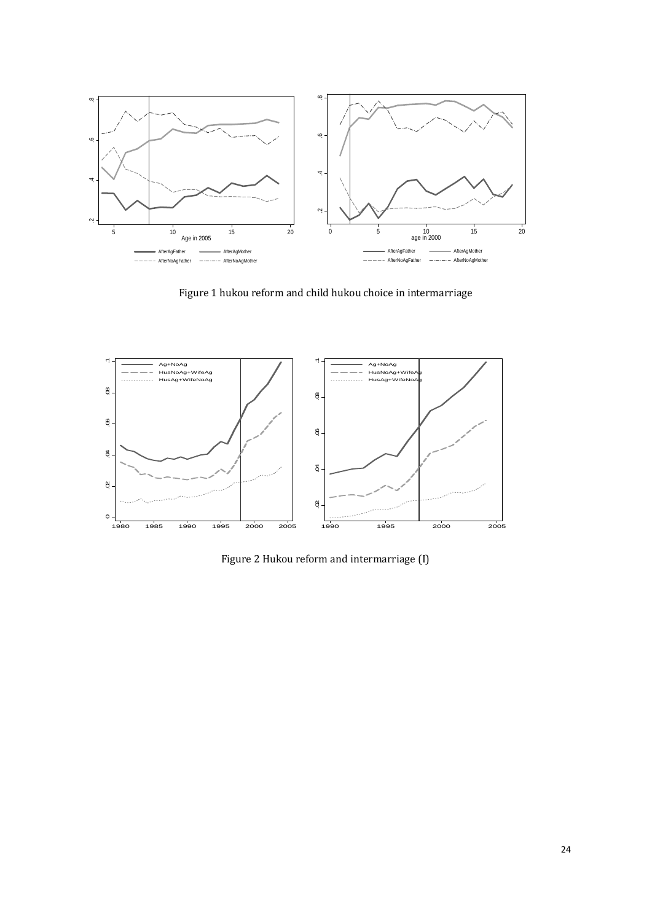

Figure 1 hukou reform and child hukou choice in intermarriage



Figure 2 Hukou reform and intermarriage (I)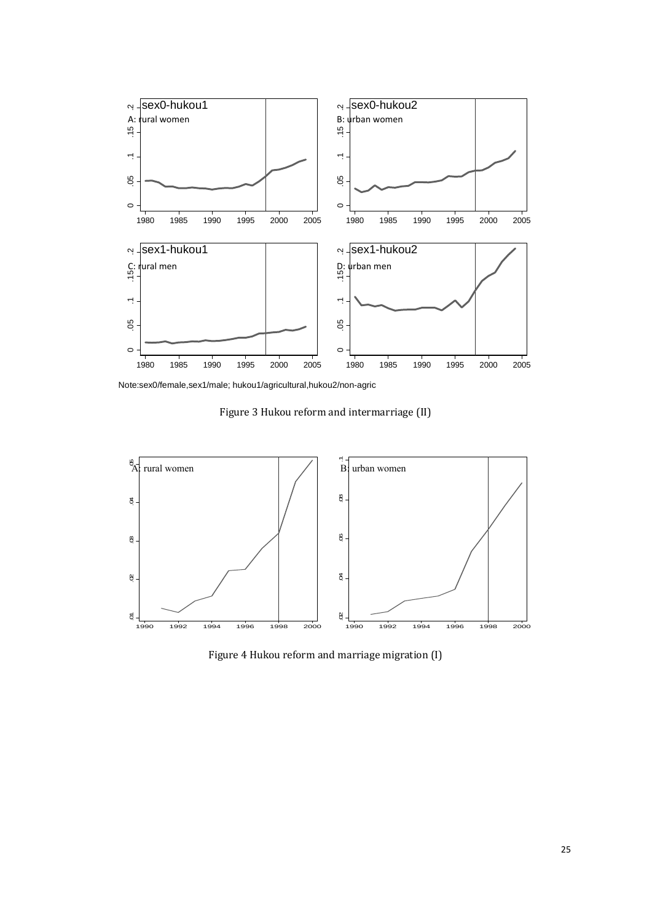

Note:sex0/female,sex1/male; hukou1/agricultural,hukou2/non-agric

Figure 3 Hukou reform and intermarriage (II)



Figure 4 Hukou reform and marriage migration (I)